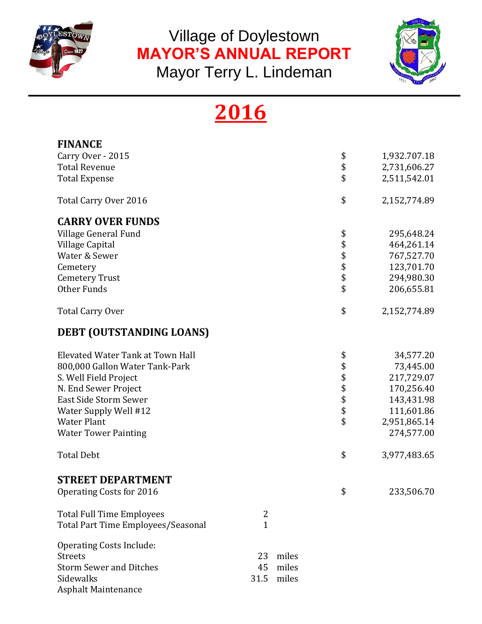

Village of Doylestown **MAYOR'S ANNUAL REPORT** 



Mayor Terry L. Lindeman

# **2016**

| <b>FINANCE</b>                     |              |       |          |              |
|------------------------------------|--------------|-------|----------|--------------|
| Carry Over - 2015                  |              |       | \$       | 1,932.707.18 |
| <b>Total Revenue</b>               |              |       | \$       | 2,731,606.27 |
| <b>Total Expense</b>               |              |       | \$       | 2,511,542.01 |
| Total Carry Over 2016              |              |       | \$       | 2,152,774.89 |
| <b>CARRY OVER FUNDS</b>            |              |       |          |              |
| Village General Fund               |              |       | \$       | 295,648.24   |
| Village Capital                    |              |       | \$       | 464,261.14   |
| Water & Sewer                      |              |       |          | 767,527.70   |
| Cemetery                           |              |       | \$\$\$   | 123,701.70   |
| <b>Cemetery Trust</b>              |              |       |          | 294,980.30   |
| Other Funds                        |              |       | \$       | 206,655.81   |
| <b>Total Carry Over</b>            |              |       | \$       | 2,152,774.89 |
| DEBT (OUTSTANDING LOANS)           |              |       |          |              |
| Elevated Water Tank at Town Hall   |              |       | \$       | 34,577.20    |
| 800,000 Gallon Water Tank-Park     |              |       | \$       | 73,445.00    |
| S. Well Field Project              |              |       |          | 217,729.07   |
| N. End Sewer Project               |              |       | \$\$\$\$ | 170,256.40   |
| East Side Storm Sewer              |              |       |          | 143,431.98   |
| Water Supply Well #12              |              |       |          | 111,601.86   |
| <b>Water Plant</b>                 |              |       | \$       | 2,951,865.14 |
| <b>Water Tower Painting</b>        |              |       |          | 274,577.00   |
| <b>Total Debt</b>                  |              |       | \$       | 3,977,483.65 |
| <b>STREET DEPARTMENT</b>           |              |       |          |              |
| <b>Operating Costs for 2016</b>    |              |       | ـ<br>Φ   | 233,506.70   |
| <b>Total Full Time Employees</b>   | 2            |       |          |              |
| Total Part Time Employees/Seasonal | $\mathbf{1}$ |       |          |              |
| <b>Operating Costs Include:</b>    |              |       |          |              |
| <b>Streets</b>                     | 23           | miles |          |              |
| <b>Storm Sewer and Ditches</b>     | 45           | miles |          |              |
| Sidewalks                          | 31.5         | miles |          |              |
| Asphalt Maintenance                |              |       |          |              |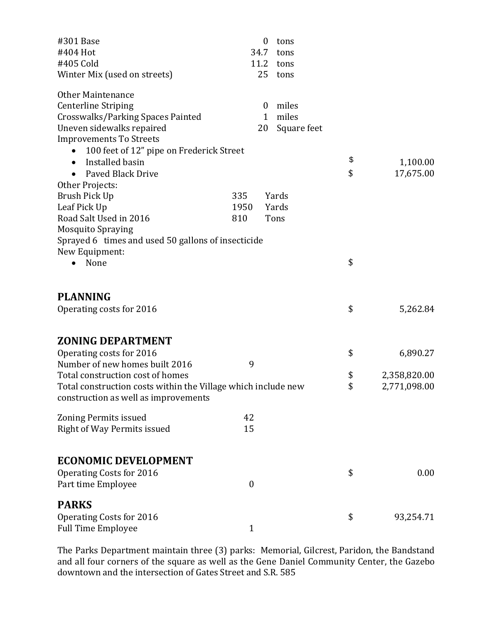| #301 Base                                                     | 0                | tons        |                    |
|---------------------------------------------------------------|------------------|-------------|--------------------|
| #404 Hot                                                      | 34.7             | tons        |                    |
| #405 Cold                                                     | 11.2             | tons        |                    |
| Winter Mix (used on streets)                                  | 25               | tons        |                    |
| <b>Other Maintenance</b>                                      |                  |             |                    |
| <b>Centerline Striping</b>                                    | $\bf{0}$         | miles       |                    |
| Crosswalks/Parking Spaces Painted                             | $\mathbf{1}$     | miles       |                    |
| Uneven sidewalks repaired                                     | 20               | Square feet |                    |
| <b>Improvements To Streets</b>                                |                  |             |                    |
| 100 feet of 12" pipe on Frederick Street                      |                  |             |                    |
| Installed basin                                               |                  |             | \$<br>1,100.00     |
| Paved Black Drive<br>$\bullet$                                |                  |             | \$<br>17,675.00    |
| Other Projects:                                               |                  |             |                    |
| Brush Pick Up                                                 | 335              | Yards       |                    |
| Leaf Pick Up                                                  | 1950             | Yards       |                    |
| Road Salt Used in 2016                                        | 810              | Tons        |                    |
| <b>Mosquito Spraying</b>                                      |                  |             |                    |
| Sprayed 6 times and used 50 gallons of insecticide            |                  |             |                    |
| New Equipment:                                                |                  |             |                    |
| None                                                          |                  |             | \$                 |
| <b>PLANNING</b>                                               |                  |             |                    |
| Operating costs for 2016                                      |                  |             | \$<br>5,262.84     |
| <b>ZONING DEPARTMENT</b>                                      |                  |             |                    |
| Operating costs for 2016                                      |                  |             | \$<br>6,890.27     |
| Number of new homes built 2016                                | 9                |             |                    |
| Total construction cost of homes                              |                  |             | \$<br>2,358,820.00 |
| Total construction costs within the Village which include new |                  |             | \$<br>2,771,098.00 |
| construction as well as improvements                          |                  |             |                    |
| <b>Zoning Permits issued</b>                                  | 42               |             |                    |
| Right of Way Permits issued                                   | 15               |             |                    |
|                                                               |                  |             |                    |
| <b>ECONOMIC DEVELOPMENT</b>                                   |                  |             |                    |
| Operating Costs for 2016                                      |                  |             | \$<br>0.00         |
| Part time Employee                                            | $\boldsymbol{0}$ |             |                    |
| <b>PARKS</b>                                                  |                  |             |                    |
| Operating Costs for 2016                                      |                  |             | \$<br>93,254.71    |
| <b>Full Time Employee</b>                                     | $\mathbf{1}$     |             |                    |

The Parks Department maintain three (3) parks: Memorial, Gilcrest, Paridon, the Bandstand and all four corners of the square as well as the Gene Daniel Community Center, the Gazebo downtown and the intersection of Gates Street and S.R. 585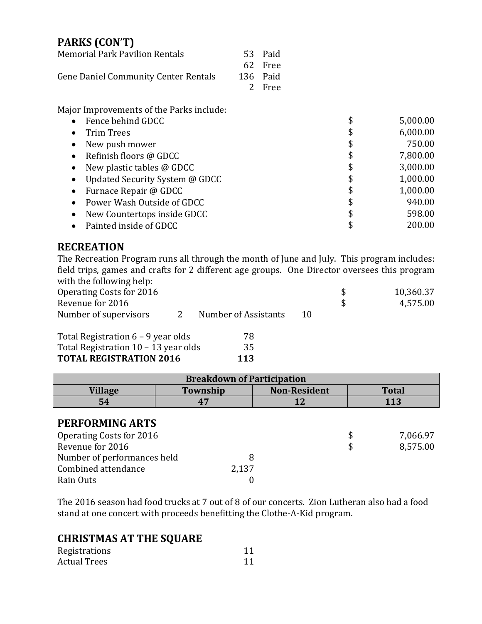## **PARKS (CON'T)**

| <b>Memorial Park Pavilion Rentals</b>       | 53 Paid  |
|---------------------------------------------|----------|
|                                             | 62 Free  |
| <b>Gene Daniel Community Center Rentals</b> | 136 Paid |
|                                             | 2 Free   |

Major Improvements of the Parks include:

| $\bullet$ | Fence behind GDCC              | \$<br>5,000.00 |
|-----------|--------------------------------|----------------|
| $\bullet$ | <b>Trim Trees</b>              | \$<br>6,000.00 |
|           | New push mower                 | \$<br>750.00   |
| $\bullet$ | Refinish floors @ GDCC         | \$<br>7,800.00 |
|           | New plastic tables @ GDCC      | \$<br>3,000.00 |
|           | Updated Security System @ GDCC | \$<br>1,000.00 |
| $\bullet$ | Furnace Repair @ GDCC          | \$<br>1,000.00 |
| $\bullet$ | Power Wash Outside of GDCC     | \$<br>940.00   |
|           | New Countertops inside GDCC    | \$<br>598.00   |
|           | Painted inside of GDCC         | \$<br>200.00   |

## **RECREATION**

The Recreation Program runs all through the month of June and July. This program includes: field trips, games and crafts for 2 different age groups. One Director oversees this program with the following help:

| $\ldots$                 |                      |    |           |
|--------------------------|----------------------|----|-----------|
| Operating Costs for 2016 |                      |    | 10,360.37 |
| Revenue for 2016         |                      |    | 4,575.00  |
| Number of supervisors    | Number of Assistants | 10 |           |
|                          |                      |    |           |

| Total Registration $6 - 9$ year olds   | 78  |
|----------------------------------------|-----|
| Total Registration $10 - 13$ year olds | 35  |
| <b>TOTAL REGISTRATION 2016</b>         | 113 |

|                             | <b>Breakdown of Participation</b> |                     |              |
|-----------------------------|-----------------------------------|---------------------|--------------|
| <b>Village</b>              | Township                          | <b>Non-Resident</b> | <b>Total</b> |
| 54                          | 47                                | 12                  | 113          |
| PERFORMING ARTS             |                                   |                     |              |
| Operating Costs for 2016    |                                   |                     | 7,066.97     |
| Revenue for 2016            |                                   |                     | 8,575.00     |
| Number of performances held | 8                                 |                     |              |
| Combined attendance         | 2,137                             |                     |              |
| Rain Outs                   |                                   |                     |              |

The 2016 season had food trucks at 7 out of 8 of our concerts. Zion Lutheran also had a food stand at one concert with proceeds benefitting the Clothe-A-Kid program.

## **CHRISTMAS AT THE SQUARE**

| Registrations       |  |
|---------------------|--|
| <b>Actual Trees</b> |  |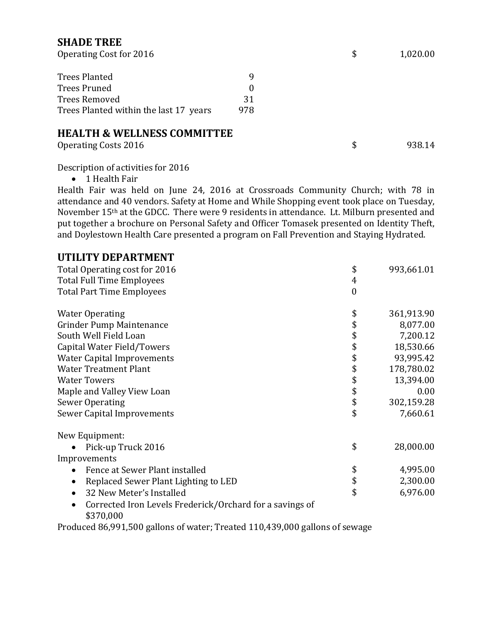## **SHADE TREE**

| Operating Cost for 2016                |          | 1,020.00     |
|----------------------------------------|----------|--------------|
| <b>Trees Planted</b>                   | q        |              |
| <b>Trees Pruned</b>                    | $\Omega$ |              |
| <b>Trees Removed</b>                   | 31       |              |
| Trees Planted within the last 17 years | 978      |              |
| <b>HEALTH &amp; WELLNESS COMMITTEE</b> |          |              |
| Operating Costs 2016                   |          | \$<br>938.14 |

Description of activities for 2016

• 1 Health Fair

Health Fair was held on June 24, 2016 at Crossroads Community Church; with 78 in attendance and 40 vendors. Safety at Home and While Shopping event took place on Tuesday, November 15th at the GDCC. There were 9 residents in attendance. Lt. Milburn presented and put together a brochure on Personal Safety and Officer Tomasek presented on Identity Theft, and Doylestown Health Care presented a program on Fall Prevention and Staying Hydrated.

## **UTILITY DEPARTMENT**

| Total Operating cost for 2016                                                      | \$               | 993,661.01 |
|------------------------------------------------------------------------------------|------------------|------------|
| <b>Total Full Time Employees</b>                                                   | 4                |            |
| <b>Total Part Time Employees</b>                                                   | $\boldsymbol{0}$ |            |
| <b>Water Operating</b>                                                             | \$               | 361,913.90 |
| Grinder Pump Maintenance                                                           | \$               | 8,077.00   |
| South Well Field Loan                                                              | \$               | 7,200.12   |
| Capital Water Field/Towers                                                         | \$               | 18,530.66  |
| <b>Water Capital Improvements</b>                                                  | \$               | 93,995.42  |
| <b>Water Treatment Plant</b>                                                       | \$               | 178,780.02 |
| <b>Water Towers</b>                                                                | \$               | 13,394.00  |
| Maple and Valley View Loan                                                         | \$               | 0.00       |
| <b>Sewer Operating</b>                                                             | \$               | 302,159.28 |
| Sewer Capital Improvements                                                         | \$               | 7,660.61   |
| New Equipment:                                                                     |                  |            |
| Pick-up Truck 2016                                                                 | \$               | 28,000.00  |
| Improvements                                                                       |                  |            |
| Fence at Sewer Plant installed<br>$\bullet$                                        | \$               | 4,995.00   |
| Replaced Sewer Plant Lighting to LED<br>$\bullet$                                  | \$               | 2,300.00   |
| 32 New Meter's Installed<br>$\bullet$                                              | \$               | 6,976.00   |
| Corrected Iron Levels Frederick/Orchard for a savings of<br>$\bullet$<br>\$370,000 |                  |            |

Produced 86,991,500 gallons of water; Treated 110,439,000 gallons of sewage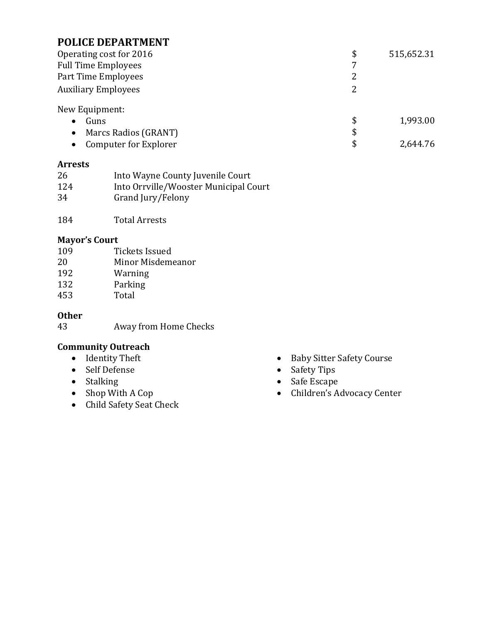## **POLICE DEPARTMENT**

| Operating cost for 2016    | \$  | 515,652.31 |
|----------------------------|-----|------------|
| <b>Full Time Employees</b> | 7   |            |
| Part Time Employees        |     |            |
| <b>Auxiliary Employees</b> |     |            |
| New Equipment:             |     |            |
| Guns                       | \$. | 1,993.00   |

● Marcs Radios (GRANT) \$<br>● Computer for Explorer \$ • Computer for Explorer  $\sim$  2,644.76

#### **Arrests**

| 26  | Into Wayne County Juvenile Court      |
|-----|---------------------------------------|
| 124 | Into Orrville/Wooster Municipal Court |
| 34  | Grand Jury/Felony                     |

184 Total Arrests

#### **Mayor's Court**

| 109 | Tickets Issued    |
|-----|-------------------|
| 20  | Minor Misdemeanor |
| 192 | Warning           |
| 132 | Parking           |
| 453 | Total             |

#### **Other**

43 Away from Home Checks

## **Community Outreach**

- 
- Self Defense
- 
- 
- Child Safety Seat Check
- Baby Sitter Safety Course<br>- Safety Tips<br>- Safe Escape
- 
- Stalking **Stalking** Stalking Stale Base Stale Base State Escape
	- Children's Advocacy Center